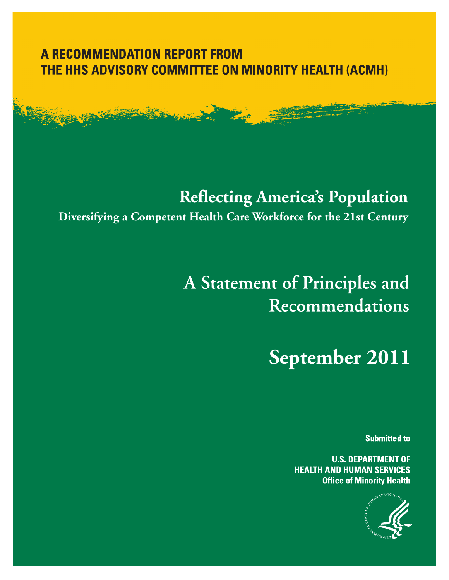### **A RECOMMENDATION REPORT FROM** THE HHS ADVISORY COMMITTEE ON MINORITY HEALTH (ACMH)

## **Reflecting America's Population**

**Diversifying a Competent Health Care Workforce for the 21st Century**

# A Statement of Principles and Recommendations

**September 2011**

**Submitted to** 

**U.S. DEPARTMENT OF HEALTH AND HUMAN SERVICES Office of Minority Health** 

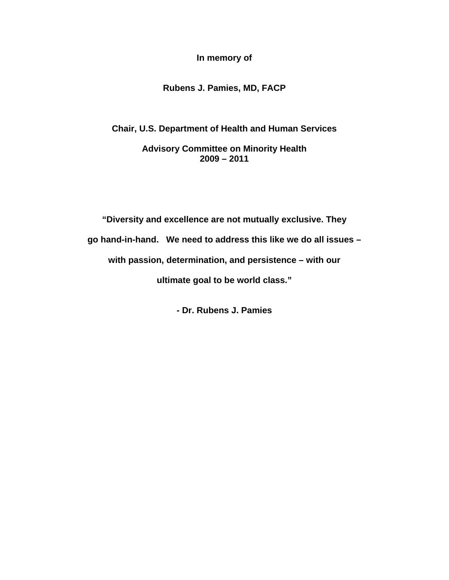**In memory of** 

#### **Rubens J. Pamies, MD, FACP**

**Chair, U.S. Department of Health and Human Services** 

**Advisory Committee on Minority Health 2009 – 2011** 

**"Diversity and excellence are not mutually exclusive. They go hand-in-hand. We need to address this like we do all issues – with passion, determination, and persistence – with our ultimate goal to be world class."** 

**- Dr. Rubens J. Pamies**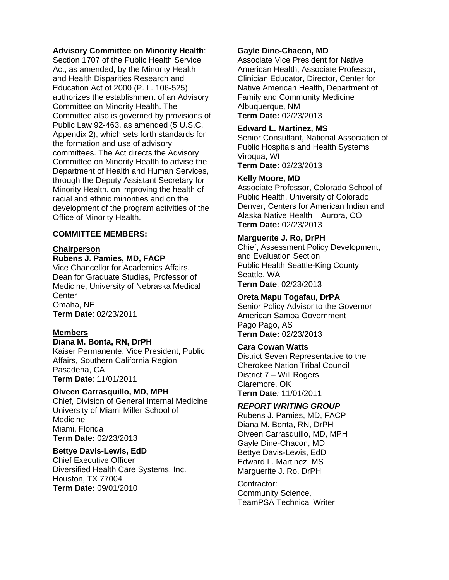#### **Advisory Committee on Minority Health**:

Section 1707 of the Public Health Service Act, as amended, by the Minority Health and Health Disparities Research and Education Act of 2000 (P. L. 106-525) authorizes the establishment of an Advisory Committee on Minority Health. The Committee also is governed by provisions of Public Law 92-463, as amended (5 U.S.C. Appendix 2), which sets forth standards for the formation and use of advisory committees. The Act directs the Advisory Committee on Minority Health to advise the Department of Health and Human Services, through the Deputy Assistant Secretary for Minority Health, on improving the health of racial and ethnic minorities and on the development of the program activities of the Office of Minority Health.

#### **COMMITTEE MEMBERS:**

#### **Chairperson**

#### **Rubens J. Pamies, MD, FACP**

Vice Chancellor for Academics Affairs, Dean for Graduate Studies, Professor of Medicine, University of Nebraska Medical **Center** Omaha, NE **Term Date**: 02/23/2011

#### **Members**

#### **Diana M. Bonta, RN, DrPH**

Kaiser Permanente, Vice President, Public Affairs, Southern California Region Pasadena, CA **Term Date**: 11/01/2011

#### **Olveen Carrasquillo, MD, MPH**

Chief, Division of General Internal Medicine University of Miami Miller School of Medicine Miami, Florida **Term Date:** 02/23/2013

#### **Bettye Davis-Lewis, EdD**

Chief Executive Officer Diversified Health Care Systems, Inc. Houston, TX 77004 **Term Date:** 09/01/2010

#### **Gayle Dine-Chacon, MD**

Associate Vice President for Native American Health, Associate Professor, Clinician Educator, Director, Center for Native American Health, Department of Family and Community Medicine Albuquerque, NM **Term Date:** 02/23/2013

#### **Edward L. Martinez, MS**

Senior Consultant, National Association of Public Hospitals and Health Systems Viroqua, WI

**Term Date:** 02/23/2013

#### **Kelly Moore, MD**

Associate Professor, Colorado School of Public Health, University of Colorado Denver, Centers for American Indian and Alaska Native Health Aurora, CO **Term Date:** 02/23/2013

#### **Marguerite J. Ro, DrPH**

Chief, Assessment Policy Development, and Evaluation Section Public Health Seattle-King County Seattle, WA **Term Date**: 02/23/2013

#### **Oreta Mapu Togafau, DrPA**

Senior Policy Advisor to the Governor American Samoa Government Pago Pago, AS **Term Date:** 02/23/2013

#### **Cara Cowan Watts**

District Seven Representative to the Cherokee Nation Tribal Council District 7 – Will Rogers Claremore, OK **Term Date***:* 11/01/2011

#### *REPORT WRITING GROUP*

Rubens J. Pamies, MD, FACP Diana M. Bonta, RN, DrPH Olveen Carrasquillo, MD, MPH Gayle Dine-Chacon, MD Bettye Davis-Lewis, EdD Edward L. Martinez, MS Marguerite J. Ro, DrPH

Contractor: Community Science, TeamPSA Technical Writer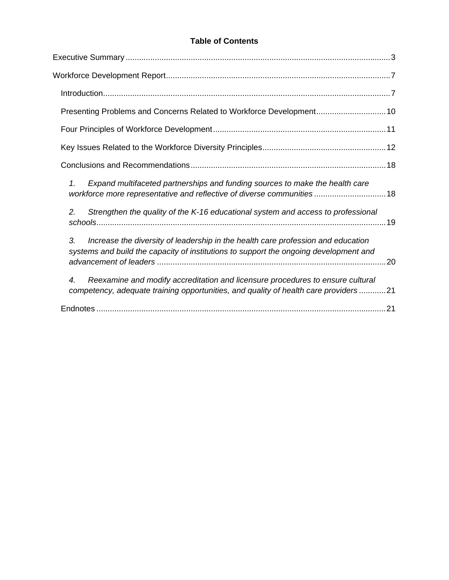#### **Table of Contents**

| Presenting Problems and Concerns Related to Workforce Development10                                                                                                                         |  |
|---------------------------------------------------------------------------------------------------------------------------------------------------------------------------------------------|--|
|                                                                                                                                                                                             |  |
|                                                                                                                                                                                             |  |
|                                                                                                                                                                                             |  |
| Expand multifaceted partnerships and funding sources to make the health care<br>1.<br>workforce more representative and reflective of diverse communities18                                 |  |
| Strengthen the quality of the K-16 educational system and access to professional<br>2.                                                                                                      |  |
| 3.<br>Increase the diversity of leadership in the health care profession and education<br>systems and build the capacity of institutions to support the ongoing development and             |  |
| Reexamine and modify accreditation and licensure procedures to ensure cultural<br>$\boldsymbol{4}$ .<br>competency, adequate training opportunities, and quality of health care providers21 |  |
|                                                                                                                                                                                             |  |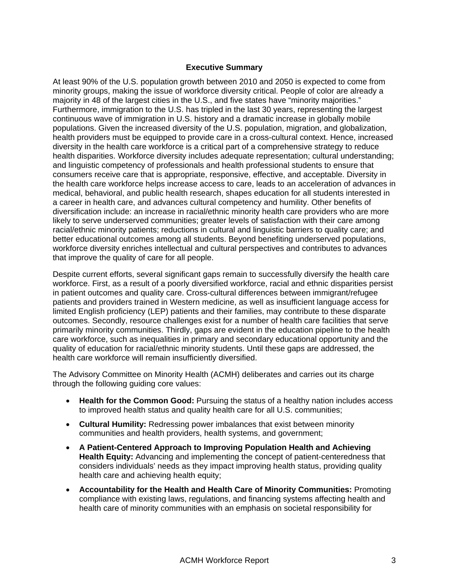#### **Executive Summary**

<span id="page-4-0"></span>At least 90% of the U.S. population growth between 2010 and 2050 is expected to come from minority groups, making the issue of workforce diversity critical. People of color are already a majority in 48 of the largest cities in the U.S., and five states have "minority majorities." Furthermore, immigration to the U.S. has tripled in the last 30 years, representing the largest continuous wave of immigration in U.S. history and a dramatic increase in globally mobile populations. Given the increased diversity of the U.S. population, migration, and globalization, health providers must be equipped to provide care in a cross-cultural context. Hence, increased diversity in the health care workforce is a critical part of a comprehensive strategy to reduce health disparities. Workforce diversity includes adequate representation; cultural understanding; and linguistic competency of professionals and health professional students to ensure that consumers receive care that is appropriate, responsive, effective, and acceptable. Diversity in the health care workforce helps increase access to care, leads to an acceleration of advances in medical, behavioral, and public health research, shapes education for all students interested in a career in health care, and advances cultural competency and humility. Other benefits of diversification include: an increase in racial/ethnic minority health care providers who are more likely to serve underserved communities; greater levels of satisfaction with their care among racial/ethnic minority patients; reductions in cultural and linguistic barriers to quality care; and better educational outcomes among all students. Beyond benefiting underserved populations, workforce diversity enriches intellectual and cultural perspectives and contributes to advances that improve the quality of care for all people.

Despite current efforts, several significant gaps remain to successfully diversify the health care workforce. First, as a result of a poorly diversified workforce, racial and ethnic disparities persist in patient outcomes and quality care. Cross-cultural differences between immigrant/refugee patients and providers trained in Western medicine, as well as insufficient language access for limited English proficiency (LEP) patients and their families, may contribute to these disparate outcomes. Secondly, resource challenges exist for a number of health care facilities that serve primarily minority communities. Thirdly, gaps are evident in the education pipeline to the health care workforce, such as inequalities in primary and secondary educational opportunity and the quality of education for racial/ethnic minority students. Until these gaps are addressed, the health care workforce will remain insufficiently diversified.

The Advisory Committee on Minority Health (ACMH) deliberates and carries out its charge through the following guiding core values:

- **Health for the Common Good:** Pursuing the status of a healthy nation includes access to improved health status and quality health care for all U.S. communities;
- **Cultural Humility:** Redressing power imbalances that exist between minority communities and health providers, health systems, and government;
- **A Patient-Centered Approach to Improving Population Health and Achieving Health Equity:** Advancing and implementing the concept of patient-centeredness that considers individuals' needs as they impact improving health status, providing quality health care and achieving health equity;
- **Accountability for the Health and Health Care of Minority Communities:** Promoting compliance with existing laws, regulations, and financing systems affecting health and health care of minority communities with an emphasis on societal responsibility for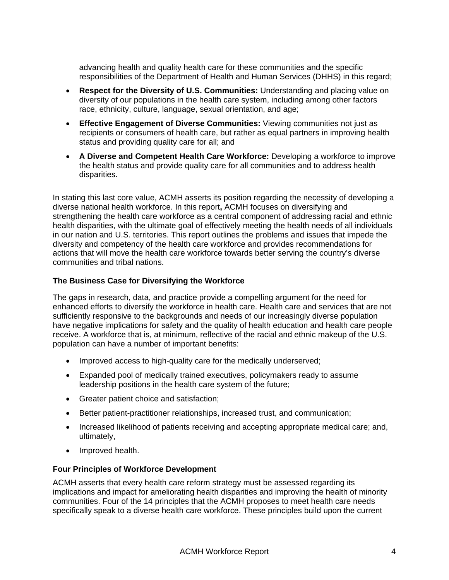advancing health and quality health care for these communities and the specific responsibilities of the Department of Health and Human Services (DHHS) in this regard;

- **Respect for the Diversity of U.S. Communities:** Understanding and placing value on diversity of our populations in the health care system, including among other factors race, ethnicity, culture, language, sexual orientation, and age;
- **Effective Engagement of Diverse Communities:** Viewing communities not just as recipients or consumers of health care, but rather as equal partners in improving health status and providing quality care for all; and
- **A Diverse and Competent Health Care Workforce:** Developing a workforce to improve the health status and provide quality care for all communities and to address health disparities.

In stating this last core value, ACMH asserts its position regarding the necessity of developing a diverse national health workforce. In this report**,** ACMH focuses on diversifying and strengthening the health care workforce as a central component of addressing racial and ethnic health disparities, with the ultimate goal of effectively meeting the health needs of all individuals in our nation and U.S. territories. This report outlines the problems and issues that impede the diversity and competency of the health care workforce and provides recommendations for actions that will move the health care workforce towards better serving the country's diverse communities and tribal nations.

#### **The Business Case for Diversifying the Workforce**

The gaps in research, data, and practice provide a compelling argument for the need for enhanced efforts to diversify the workforce in health care. Health care and services that are not sufficiently responsive to the backgrounds and needs of our increasingly diverse population have negative implications for safety and the quality of health education and health care people receive. A workforce that is, at minimum, reflective of the racial and ethnic makeup of the U.S. population can have a number of important benefits:

- Improved access to high-quality care for the medically underserved;
- Expanded pool of medically trained executives, policymakers ready to assume leadership positions in the health care system of the future;
- Greater patient choice and satisfaction;
- Better patient-practitioner relationships, increased trust, and communication;
- Increased likelihood of patients receiving and accepting appropriate medical care; and, ultimately,
- Improved health.

#### **Four Principles of Workforce Development**

ACMH asserts that every health care reform strategy must be assessed regarding its implications and impact for ameliorating health disparities and improving the health of minority communities. Four of the 14 principles that the ACMH proposes to meet health care needs specifically speak to a diverse health care workforce. These principles build upon the current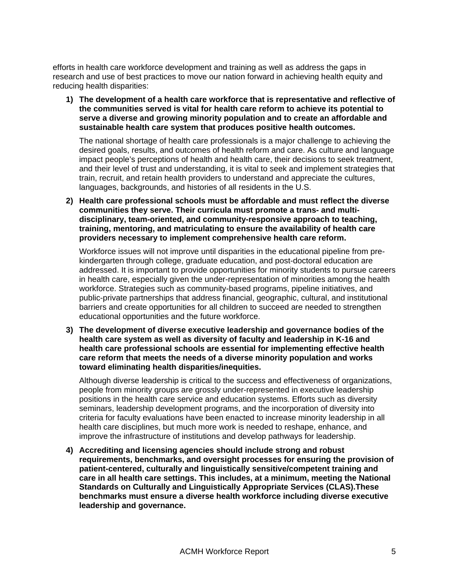efforts in health care workforce development and training as well as address the gaps in research and use of best practices to move our nation forward in achieving health equity and reducing health disparities:

**1) The development of a health care workforce that is representative and reflective of the communities served is vital for health care reform to achieve its potential to serve a diverse and growing minority population and to create an affordable and sustainable health care system that produces positive health outcomes.** 

The national shortage of health care professionals is a major challenge to achieving the desired goals, results, and outcomes of health reform and care. As culture and language impact people's perceptions of health and health care, their decisions to seek treatment, and their level of trust and understanding, it is vital to seek and implement strategies that train, recruit, and retain health providers to understand and appreciate the cultures, languages, backgrounds, and histories of all residents in the U.S.

**2) Health care professional schools must be affordable and must reflect the diverse communities they serve. Their curricula must promote a trans- and multidisciplinary, team-oriented, and community-responsive approach to teaching, training, mentoring, and matriculating to ensure the availability of health care providers necessary to implement comprehensive health care reform.** 

Workforce issues will not improve until disparities in the educational pipeline from prekindergarten through college, graduate education, and post-doctoral education are addressed. It is important to provide opportunities for minority students to pursue careers in health care, especially given the under-representation of minorities among the health workforce. Strategies such as community-based programs, pipeline initiatives, and public-private partnerships that address financial, geographic, cultural, and institutional barriers and create opportunities for all children to succeed are needed to strengthen educational opportunities and the future workforce.

**3) The development of diverse executive leadership and governance bodies of the health care system as well as diversity of faculty and leadership in K-16 and health care professional schools are essential for implementing effective health care reform that meets the needs of a diverse minority population and works toward eliminating health disparities/inequities.** 

Although diverse leadership is critical to the success and effectiveness of organizations, people from minority groups are grossly under-represented in executive leadership positions in the health care service and education systems. Efforts such as diversity seminars, leadership development programs, and the incorporation of diversity into criteria for faculty evaluations have been enacted to increase minority leadership in all health care disciplines, but much more work is needed to reshape, enhance, and improve the infrastructure of institutions and develop pathways for leadership.

**4) Accrediting and licensing agencies should include strong and robust requirements, benchmarks, and oversight processes for ensuring the provision of patient-centered, culturally and linguistically sensitive/competent training and care in all health care settings. This includes, at a minimum, meeting the National Standards on Culturally and Linguistically Appropriate Services (CLAS).These benchmarks must ensure a diverse health workforce including diverse executive leadership and governance.**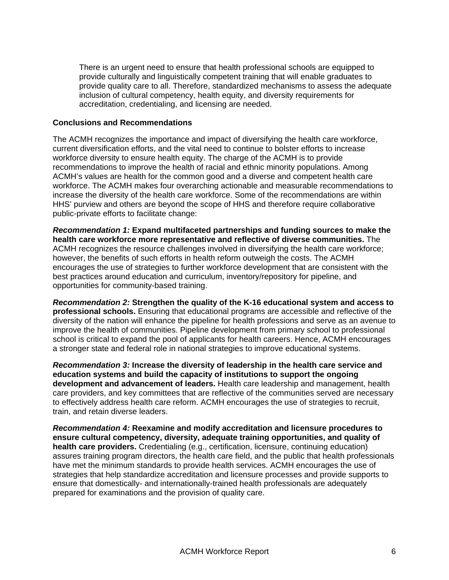There is an urgent need to ensure that health professional schools are equipped to provide culturally and linguistically competent training that will enable graduates to provide quality care to all. Therefore, standardized mechanisms to assess the adequate inclusion of cultural competency, health equity, and diversity requirements for accreditation, credentialing, and licensing are needed.

#### **Conclusions and Recommendations**

The ACMH recognizes the importance and impact of diversifying the health care workforce, current diversification efforts, and the vital need to continue to bolster efforts to increase workforce diversity to ensure health equity. The charge of the ACMH is to provide recommendations to improve the health of racial and ethnic minority populations. Among ACMH's values are health for the common good and a diverse and competent health care workforce. The ACMH makes four overarching actionable and measurable recommendations to increase the diversity of the health care workforce. Some of the recommendations are within HHS' purview and others are beyond the scope of HHS and therefore require collaborative public-private efforts to facilitate change:

*Recommendation 1:* **Expand multifaceted partnerships and funding sources to make the health care workforce more representative and reflective of diverse communities.** The ACMH recognizes the resource challenges involved in diversifying the health care workforce; however, the benefits of such efforts in health reform outweigh the costs. The ACMH encourages the use of strategies to further workforce development that are consistent with the best practices around education and curriculum, inventory/repository for pipeline, and opportunities for community-based training.

*Recommendation 2:* **Strengthen the quality of the K-16 educational system and access to professional schools.** Ensuring that educational programs are accessible and reflective of the diversity of the nation will enhance the pipeline for health professions and serve as an avenue to improve the health of communities. Pipeline development from primary school to professional school is critical to expand the pool of applicants for health careers. Hence, ACMH encourages a stronger state and federal role in national strategies to improve educational systems.

*Recommendation 3:* **Increase the diversity of leadership in the health care service and education systems and build the capacity of institutions to support the ongoing development and advancement of leaders.** Health care leadership and management, health care providers, and key committees that are reflective of the communities served are necessary to effectively address health care reform. ACMH encourages the use of strategies to recruit, train, and retain diverse leaders.

*Recommendation 4:* **Reexamine and modify accreditation and licensure procedures to ensure cultural competency, diversity, adequate training opportunities, and quality of health care providers.** Credentialing (e.g., certification, licensure, continuing education) assures training program directors, the health care field, and the public that health professionals have met the minimum standards to provide health services. ACMH encourages the use of strategies that help standardize accreditation and licensure processes and provide supports to ensure that domestically- and internationally-trained health professionals are adequately prepared for examinations and the provision of quality care.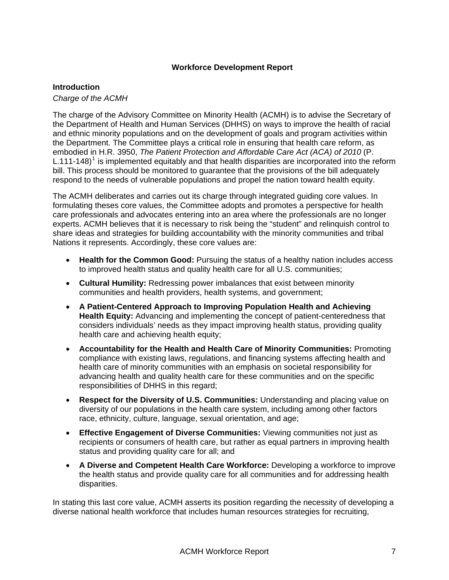#### **Workforce Development Report**

#### <span id="page-8-1"></span><span id="page-8-0"></span>**Introduction**

#### *Charge of the ACMH*

The charge of the Advisory Committee on Minority Health (ACMH) is to advise the Secretary of the Department of Health and Human Services (DHHS) on ways to improve the health of racial and ethnic minority populations and on the development of goals and program activities within the Department. The Committee plays a critical role in ensuring that health care reform, as embodied in H.R. 3950, *The Patient Protection and Affordable Care Act (ACA) of 2010* (P. L.[1](#page-22-2)11-148)<sup>1</sup> is implemented equitably and that health disparities are incorporated into the reform bill. This process should be monitored to guarantee that the provisions of the bill adequately respond to the needs of vulnerable populations and propel the nation toward health equity.

The ACMH deliberates and carries out its charge through integrated guiding core values. In formulating theses core values, the Committee adopts and promotes a perspective for health care professionals and advocates entering into an area where the professionals are no longer experts. ACMH believes that it is necessary to risk being the "student" and relinquish control to share ideas and strategies for building accountability with the minority communities and tribal Nations it represents. Accordingly, these core values are:

- **Health for the Common Good:** Pursuing the status of a healthy nation includes access to improved health status and quality health care for all U.S. communities;
- **Cultural Humility:** Redressing power imbalances that exist between minority communities and health providers, health systems, and government;
- **A Patient-Centered Approach to Improving Population Health and Achieving Health Equity:** Advancing and implementing the concept of patient-centeredness that considers individuals' needs as they impact improving health status, providing quality health care and achieving health equity;
- **Accountability for the Health and Health Care of Minority Communities:** Promoting compliance with existing laws, regulations, and financing systems affecting health and health care of minority communities with an emphasis on societal responsibility for advancing health and quality health care for these communities and on the specific responsibilities of DHHS in this regard;
- **Respect for the Diversity of U.S. Communities:** Understanding and placing value on diversity of our populations in the health care system, including among other factors race, ethnicity, culture, language, sexual orientation, and age;
- **Effective Engagement of Diverse Communities:** Viewing communities not just as recipients or consumers of health care, but rather as equal partners in improving health status and providing quality care for all; and
- **A Diverse and Competent Health Care Workforce:** Developing a workforce to improve the health status and provide quality care for all communities and for addressing health disparities.

In stating this last core value, ACMH asserts its position regarding the necessity of developing a diverse national health workforce that includes human resources strategies for recruiting,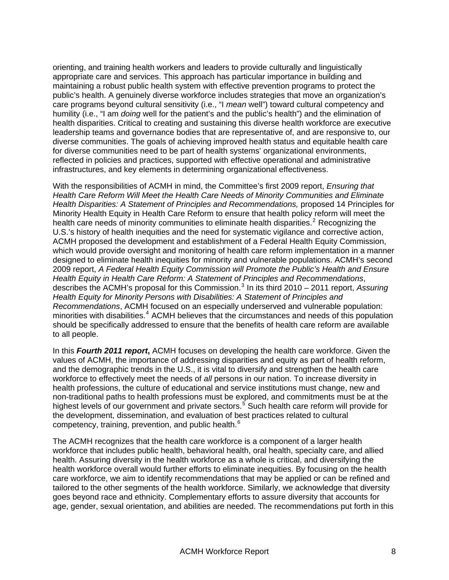orienting, and training health workers and leaders to provide culturally and linguistically appropriate care and services. This approach has particular importance in building and maintaining a robust public health system with effective prevention programs to protect the public's health. A genuinely diverse workforce includes strategies that move an organization's care programs beyond cultural sensitivity (i.e., "I *mean* well") toward cultural competency and humility (i.e., "I am *doing* well for the patient's and the public's health") and the elimination of health disparities. Critical to creating and sustaining this diverse health workforce are executive leadership teams and governance bodies that are representative of, and are responsive to, our diverse communities. The goals of achieving improved health status and equitable health care for diverse communities need to be part of health systems' organizational environments, reflected in policies and practices, supported with effective operational and administrative infrastructures, and key elements in determining organizational effectiveness.

With the responsibilities of ACMH in mind, the Committee's first 2009 report, *Ensuring that Health Care Reform Will Meet the Health Care Needs of Minority Communities and Eliminate Health Disparities: A Statement of Principles and Recommendations,* proposed 14 Principles for Minority Health Equity in Health Care Reform to ensure that health policy reform will meet the health care needs of minority communities to eliminate health disparities.<sup>[2](#page-22-3)</sup> Recognizing the U.S.'s history of health inequities and the need for systematic vigilance and corrective action, ACMH proposed the development and establishment of a Federal Health Equity Commission, which would provide oversight and monitoring of health care reform implementation in a manner designed to eliminate health inequities for minority and vulnerable populations. ACMH's second 2009 report, *A Federal Health Equity Commission will Promote the Public's Health and Ensure Health Equity in Health Care Reform: A Statement of Principles and Recommendations*, describes the ACMH's proposal for this Commission.<sup>[3](#page-23-0)</sup> In its third 2010 - 2011 report, Assuring *Health Equity for Minority Persons with Disabilities: A Statement of Principles and Recommendations*, ACMH focused on an especially underserved and vulnerable population: minorities with disabilities.<sup>[4](#page-23-1)</sup> ACMH believes that the circumstances and needs of this population should be specifically addressed to ensure that the benefits of health care reform are available to all people.

In this *Fourth 2011 report***,** ACMH focuses on developing the health care workforce. Given the values of ACMH, the importance of addressing disparities and equity as part of health reform, and the demographic trends in the U.S., it is vital to diversify and strengthen the health care workforce to effectively meet the needs of *all* persons in our nation. To increase diversity in health professions, the culture of educational and service institutions must change, new and non-traditional paths to health professions must be explored, and commitments must be at the highest levels of our government and private sectors.<sup>[5](#page-23-2)</sup> Such health care reform will provide for the development, dissemination, and evaluation of best practices related to cultural competency, training, prevention, and public health.<sup>[6](#page-23-3)</sup>

The ACMH recognizes that the health care workforce is a component of a larger health workforce that includes public health, behavioral health, oral health, specialty care, and allied health. Assuring diversity in the health workforce as a whole is critical, and diversifying the health workforce overall would further efforts to eliminate inequities. By focusing on the health care workforce, we aim to identify recommendations that may be applied or can be refined and tailored to the other segments of the health workforce. Similarly, we acknowledge that diversity goes beyond race and ethnicity. Complementary efforts to assure diversity that accounts for age, gender, sexual orientation, and abilities are needed. The recommendations put forth in this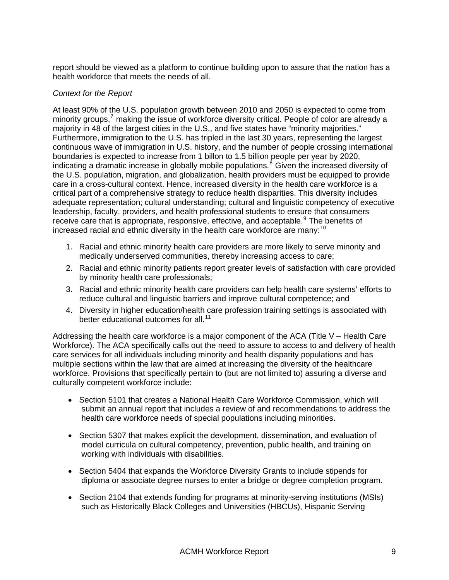report should be viewed as a platform to continue building upon to assure that the nation has a health workforce that meets the needs of all.

#### *Context for the Report*

At least 90% of the U.S. population growth between 2010 and 2050 is expected to come from minority groups,<sup>[7](#page-23-4)</sup> making the issue of workforce diversity critical. People of color are already a majority in 48 of the largest cities in the U.S., and five states have "minority majorities." Furthermore, immigration to the U.S. has tripled in the last 30 years, representing the largest continuous wave of immigration in U.S. history, and the number of people crossing international boundaries is expected to increase from 1 billon to 1.5 billion people per year by 2020, indicating a dramatic increase in globally mobile populations.<sup>[8](#page-23-5)</sup> Given the increased diversity of the U.S. population, migration, and globalization, health providers must be equipped to provide care in a cross-cultural context. Hence, increased diversity in the health care workforce is a critical part of a comprehensive strategy to reduce health disparities. This diversity includes adequate representation; cultural understanding; cultural and linguistic competency of executive leadership, faculty, providers, and health professional students to ensure that consumers receive care that is appropriate, responsive, effective, and acceptable.<sup>[9](#page-23-6)</sup> The benefits of increased racial and ethnic diversity in the health care workforce are many:<sup>[10](#page-23-7)</sup>

- 1. Racial and ethnic minority health care providers are more likely to serve minority and medically underserved communities, thereby increasing access to care;
- 2. Racial and ethnic minority patients report greater levels of satisfaction with care provided by minority health care professionals;
- 3. Racial and ethnic minority health care providers can help health care systems' efforts to reduce cultural and linguistic barriers and improve cultural competence; and
- 4. Diversity in higher education/health care profession training settings is associated with better educational outcomes for all.<sup>[11](#page-23-8)</sup>

Addressing the health care workforce is a major component of the ACA (Title V – Health Care Workforce). The ACA specifically calls out the need to assure to access to and delivery of health care services for all individuals including minority and health disparity populations and has multiple sections within the law that are aimed at increasing the diversity of the healthcare workforce. Provisions that specifically pertain to (but are not limited to) assuring a diverse and culturally competent workforce include:

- Section 5101 that creates a National Health Care Workforce Commission, which will submit an annual report that includes a review of and recommendations to address the health care workforce needs of special populations including minorities.
- Section 5307 that makes explicit the development, dissemination, and evaluation of model curricula on cultural competency, prevention, public health, and training on working with individuals with disabilities.
- Section 5404 that expands the Workforce Diversity Grants to include stipends for diploma or associate degree nurses to enter a bridge or degree completion program.
- Section 2104 that extends funding for programs at minority-serving institutions (MSIs) such as Historically Black Colleges and Universities (HBCUs), Hispanic Serving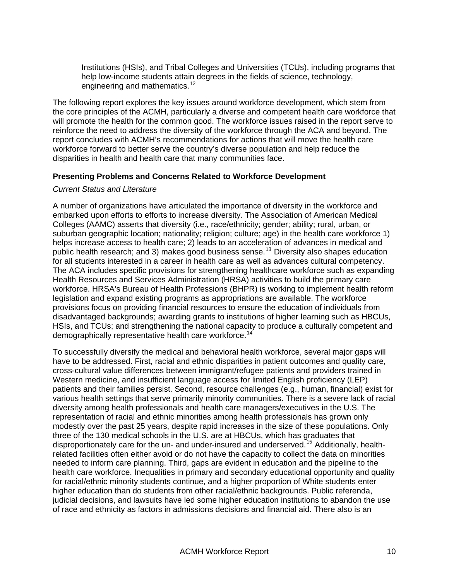Institutions (HSIs), and Tribal Colleges and Universities (TCUs), including programs that help low-income students attain degrees in the fields of science, technology, engineering and mathematics.<sup>12</sup>

The following report explores the key issues around workforce development, which stem from the core principles of the ACMH, particularly a diverse and competent health care workforce that will promote the health for the common good. The workforce issues raised in the report serve to reinforce the need to address the diversity of the workforce through the ACA and beyond. The report concludes with ACMH's recommendations for actions that will move the health care workforce forward to better serve the country's diverse population and help reduce the disparities in health and health care that many communities face.

#### <span id="page-11-0"></span>**Presenting Problems and Concerns Related to Workforce Development**

#### *Current Status and Literature*

A number of organizations have articulated the importance of diversity in the workforce and embarked upon efforts to efforts to increase diversity. The Association of American Medical Colleges (AAMC) asserts that diversity (i.e., race/ethnicity; gender; ability; rural, urban, or suburban geographic location; nationality; religion; culture; age) in the health care workforce 1) helps increase access to health care; 2) leads to an acceleration of advances in medical and public health research; and 3) makes good business sense.[13](#page-23-9) Diversity also shapes education for all students interested in a career in health care as well as advances cultural competency. The ACA includes specific provisions for strengthening healthcare workforce such as expanding Health Resources and Services Administration (HRSA) activities to build the primary care workforce. HRSA's Bureau of Health Professions (BHPR) is working to implement health reform legislation and expand existing programs as appropriations are available. The workforce provisions focus on providing financial resources to ensure the education of individuals from disadvantaged backgrounds; awarding grants to institutions of higher learning such as HBCUs, HSIs, and TCUs; and strengthening the national capacity to produce a culturally competent and demographically representative health care workforce.<sup>[14](#page-23-10)</sup>

To successfully diversify the medical and behavioral health workforce, several major gaps will have to be addressed. First, racial and ethnic disparities in patient outcomes and quality care, cross-cultural value differences between immigrant/refugee patients and providers trained in Western medicine, and insufficient language access for limited English proficiency (LEP) patients and their families persist. Second, resource challenges (e.g., human, financial) exist for various health settings that serve primarily minority communities. There is a severe lack of racial diversity among health professionals and health care managers/executives in the U.S. The representation of racial and ethnic minorities among health professionals has grown only modestly over the past 25 years, despite rapid increases in the size of these populations. Only three of the 130 medical schools in the U.S. are at HBCUs, which has graduates that disproportionately care for the un- and under-insured and underserved.<sup>[15](#page-23-11)</sup> Additionally, healthrelated facilities often either avoid or do not have the capacity to collect the data on minorities needed to inform care planning. Third, gaps are evident in education and the pipeline to the health care workforce. Inequalities in primary and secondary educational opportunity and quality for racial/ethnic minority students continue, and a higher proportion of White students enter higher education than do students from other racial/ethnic backgrounds. Public referenda, judicial decisions, and lawsuits have led some higher education institutions to abandon the use of race and ethnicity as factors in admissions decisions and financial aid. There also is an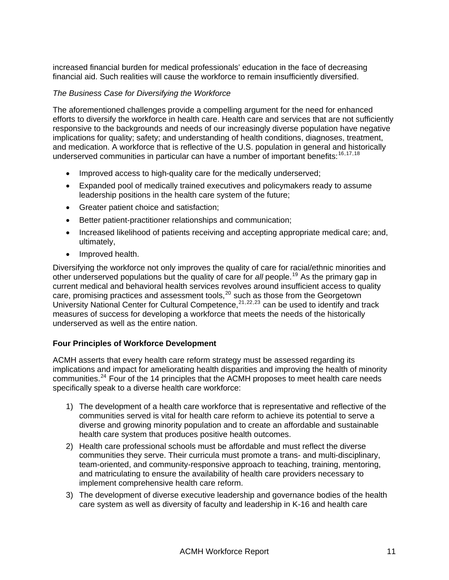increased financial burden for medical professionals' education in the face of decreasing financial aid. Such realities will cause the workforce to remain insufficiently diversified.

#### *The Business Case for Diversifying the Workforce*

The aforementioned challenges provide a compelling argument for the need for enhanced efforts to diversify the workforce in health care. Health care and services that are not sufficiently responsive to the backgrounds and needs of our increasingly diverse population have negative implications for quality; safety; and understanding of health conditions, diagnoses, treatment, and medication. A workforce that is reflective of the U.S. population in general and historically underserved communities in particular can have a number of important benefits:  $16,17,18$  $16,17,18$  $16,17,18$  $16,17,18$  $16,17,18$ 

- Improved access to high-quality care for the medically underserved;
- Expanded pool of medically trained executives and policymakers ready to assume leadership positions in the health care system of the future;
- Greater patient choice and satisfaction;
- Better patient-practitioner relationships and communication;
- Increased likelihood of patients receiving and accepting appropriate medical care; and, ultimately,
- Improved health.

Diversifying the workforce not only improves the quality of care for racial/ethnic minorities and other underserved populations but the quality of care for *all* people.[19](#page-23-15) As the primary gap in current medical and behavioral health services revolves around insufficient access to quality care, promising practices and assessment tools, $20$  such as those from the Georgetown University National Center for Cultural Competence,  $2^{1,22,23}$  $2^{1,22,23}$  $2^{1,22,23}$  $2^{1,22,23}$  $2^{1,22,23}$  can be used to identify and track measures of success for developing a workforce that meets the needs of the historically underserved as well as the entire nation.

#### <span id="page-12-0"></span>**Four Principles of Workforce Development**

ACMH asserts that every health care reform strategy must be assessed regarding its implications and impact for ameliorating health disparities and improving the health of minority communities.<sup>[24](#page-24-3)</sup> Four of the 14 principles that the ACMH proposes to meet health care needs specifically speak to a diverse health care workforce:

- 1) The development of a health care workforce that is representative and reflective of the communities served is vital for health care reform to achieve its potential to serve a diverse and growing minority population and to create an affordable and sustainable health care system that produces positive health outcomes.
- 2) Health care professional schools must be affordable and must reflect the diverse communities they serve. Their curricula must promote a trans- and multi-disciplinary, team-oriented, and community-responsive approach to teaching, training, mentoring, and matriculating to ensure the availability of health care providers necessary to implement comprehensive health care reform.
- 3) The development of diverse executive leadership and governance bodies of the health care system as well as diversity of faculty and leadership in K-16 and health care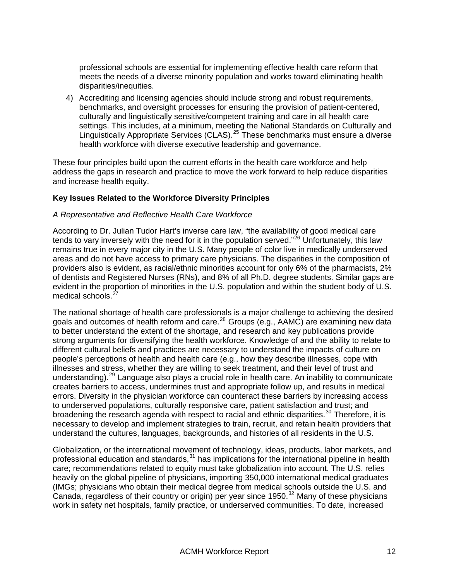professional schools are essential for implementing effective health care reform that meets the needs of a diverse minority population and works toward eliminating health disparities/inequities.

4) Accrediting and licensing agencies should include strong and robust requirements, benchmarks, and oversight processes for ensuring the provision of patient-centered, culturally and linguistically sensitive/competent training and care in all health care settings. This includes, at a minimum, meeting the National Standards on Culturally and Linguistically Appropriate Services (CLAS).<sup>[25](#page-24-4)</sup> These benchmarks must ensure a diverse health workforce with diverse executive leadership and governance.

These four principles build upon the current efforts in the health care workforce and help address the gaps in research and practice to move the work forward to help reduce disparities and increase health equity.

#### <span id="page-13-0"></span>**Key Issues Related to the Workforce Diversity Principles**

#### *A Representative and Reflective Health Care Workforce*

According to Dr. Julian Tudor Hart's inverse care law, "the availability of good medical care tends to vary inversely with the need for it in the population served."<sup>[26](#page-24-5)</sup> Unfortunately, this law remains true in every major city in the U.S. Many people of color live in medically underserved areas and do not have access to primary care physicians. The disparities in the composition of providers also is evident, as racial/ethnic minorities account for only 6% of the pharmacists, 2% of dentists and Registered Nurses (RNs), and 8% of all Ph.D. degree students. Similar gaps are evident in the proportion of minorities in the U.S. population and within the student body of U.S. medical schools.<sup>[27](#page-24-6)</sup>

The national shortage of health care professionals is a major challenge to achieving the desired goals and outcomes of health reform and care.<sup>[28](#page-24-7)</sup> Groups (e.g.,  $AAMC$ ) are examining new data to better understand the extent of the shortage, and research and key publications provide strong arguments for diversifying the health workforce. Knowledge of and the ability to relate to different cultural beliefs and practices are necessary to understand the impacts of culture on people's perceptions of health and health care (e.g., how they describe illnesses, cope with illnesses and stress, whether they are willing to seek treatment, and their level of trust and understanding). $^{29}$  $^{29}$  $^{29}$  Language also plays a crucial role in health care. An inability to communicate creates barriers to access, undermines trust and appropriate follow up, and results in medical errors. Diversity in the physician workforce can counteract these barriers by increasing access to underserved populations, culturally responsive care, patient satisfaction and trust; and broadening the research agenda with respect to racial and ethnic disparities.<sup>[30](#page-24-9)</sup> Therefore, it is necessary to develop and implement strategies to train, recruit, and retain health providers that understand the cultures, languages, backgrounds, and histories of all residents in the U.S.

Globalization, or the international movement of technology, ideas, products, labor markets, and professional education and standards, $31$  has implications for the international pipeline in health care; recommendations related to equity must take globalization into account. The U.S. relies heavily on the global pipeline of physicians, importing 350,000 international medical graduates (IMGs; physicians who obtain their medical degree from medical schools outside the U.S. and Canada, regardless of their country or origin) per year since 1950.<sup>[32](#page-24-11)</sup> Many of these physicians work in safety net hospitals, family practice, or underserved communities. To date, increased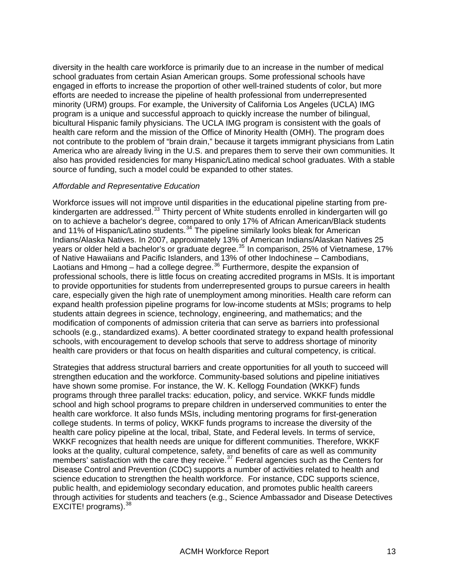diversity in the health care workforce is primarily due to an increase in the number of medical school graduates from certain Asian American groups. Some professional schools have engaged in efforts to increase the proportion of other well-trained students of color, but more efforts are needed to increase the pipeline of health professional from underrepresented minority (URM) groups. For example, the University of California Los Angeles (UCLA) IMG program is a unique and successful approach to quickly increase the number of bilingual, bicultural Hispanic family physicians. The UCLA IMG program is consistent with the goals of health care reform and the mission of the Office of Minority Health (OMH). The program does not contribute to the problem of "brain drain," because it targets immigrant physicians from Latin America who are already living in the U.S. and prepares them to serve their own communities. It also has provided residencies for many Hispanic/Latino medical school graduates. With a stable source of funding, such a model could be expanded to other states.

#### *Affordable and Representative Education*

Workforce issues will not improve until disparities in the educational pipeline starting from pre-kindergarten are addressed.<sup>[33](#page-24-12)</sup> Thirty percent of White students enrolled in kindergarten will go on to achieve a bachelor's degree, compared to only 17% of African American/Black students and 11% of Hispanic/Latino students.<sup>[34](#page-24-13)</sup> The pipeline similarly looks bleak for American Indians/Alaska Natives. In 2007, approximately 13% of American Indians/Alaskan Natives 25 years or older held a bachelor's or graduate degree.<sup>[35](#page-24-14)</sup> In comparison, 25% of Vietnamese, 17% of Native Hawaiians and Pacific Islanders, and 13% of other Indochinese – Cambodians, Laotians and Hmong – had a college degree.<sup>[36](#page-24-15)</sup> Furthermore, despite the expansion of professional schools, there is little focus on creating accredited programs in MSIs. It is important to provide opportunities for students from underrepresented groups to pursue careers in health care, especially given the high rate of unemployment among minorities. Health care reform can expand health profession pipeline programs for low-income students at MSIs; programs to help students attain degrees in science, technology, engineering, and mathematics; and the modification of components of admission criteria that can serve as barriers into professional schools (e.g., standardized exams). A better coordinated strategy to expand health professional schools, with encouragement to develop schools that serve to address shortage of minority health care providers or that focus on health disparities and cultural competency, is critical.

Strategies that address structural barriers and create opportunities for all youth to succeed will strengthen education and the workforce. Community-based solutions and pipeline initiatives have shown some promise. For instance, the W. K. Kellogg Foundation (WKKF) funds programs through three parallel tracks: education, policy, and service. WKKF funds middle school and high school programs to prepare children in underserved communities to enter the health care workforce. It also funds MSIs, including mentoring programs for first-generation college students. In terms of policy, WKKF funds programs to increase the diversity of the health care policy pipeline at the local, tribal, State, and Federal levels. In terms of service, WKKF recognizes that health needs are unique for different communities. Therefore, WKKF looks at the quality, cultural competence, safety, and benefits of care as well as community members' satisfaction with the care they receive.<sup>[37](#page-24-16)</sup> Federal agencies such as the Centers for Disease Control and Prevention (CDC) supports a number of activities related to health and science education to strengthen the health workforce. For instance, CDC supports science, public health, and epidemiology secondary education, and promotes public health careers through activities for students and teachers (e.g., Science Ambassador and Disease Detectives EXCITE! programs).  $38$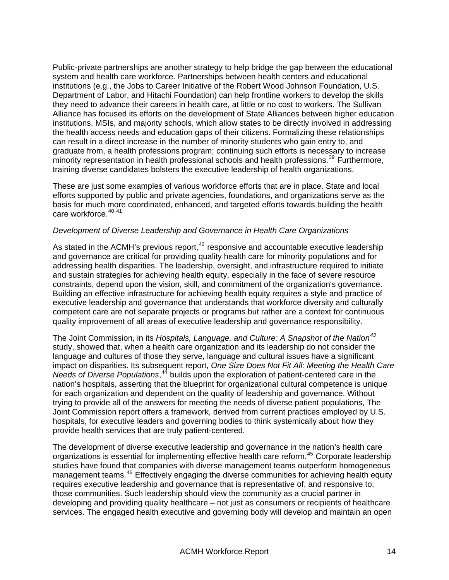Public-private partnerships are another strategy to help bridge the gap between the educational system and health care workforce. Partnerships between health centers and educational institutions (e.g., the Jobs to Career Initiative of the Robert Wood Johnson Foundation, U.S. Department of Labor, and Hitachi Foundation) can help frontline workers to develop the skills they need to advance their careers in health care, at little or no cost to workers. The Sullivan Alliance has focused its efforts on the development of State Alliances between higher education institutions, MSIs, and majority schools, which allow states to be directly involved in addressing the health access needs and education gaps of their citizens. Formalizing these relationships can result in a direct increase in the number of minority students who gain entry to, and graduate from, a health professions program; continuing such efforts is necessary to increase minority representation in health professional schools and health professions.<sup>[39](#page-25-0)</sup> Furthermore, training diverse candidates bolsters the executive leadership of health organizations.

These are just some examples of various workforce efforts that are in place. State and local efforts supported by public and private agencies, foundations, and organizations serve as the basis for much more coordinated, enhanced, and targeted efforts towards building the health care workforce.  $40,41$  $40,41$  $40,41$ 

#### *Development of Diverse Leadership and Governance in Health Care Organizations*

As stated in the ACMH's previous report, $42$  responsive and accountable executive leadership and governance are critical for providing quality health care for minority populations and for addressing health disparities. The leadership, oversight, and infrastructure required to initiate and sustain strategies for achieving health equity, especially in the face of severe resource constraints, depend upon the vision, skill, and commitment of the organization's governance. Building an effective infrastructure for achieving health equity requires a style and practice of executive leadership and governance that understands that workforce diversity and culturally competent care are not separate projects or programs but rather are a context for continuous quality improvement of all areas of executive leadership and governance responsibility.

The Joint Commission, in its *Hospitals, Language, and Culture: A Snapshot of the Nation[43](#page-25-4)* study, showed that, when a health care organization and its leadership do not consider the language and cultures of those they serve, language and cultural issues have a significant impact on disparities. Its subsequent report, *One Size Does Not Fit All: Meeting the Health Care*  Needs of Diverse Populations,<sup>[44](#page-25-5)</sup> builds upon the exploration of patient-centered care in the nation's hospitals, asserting that the blueprint for organizational cultural competence is unique for each organization and dependent on the quality of leadership and governance. Without trying to provide all of the answers for meeting the needs of diverse patient populations, The Joint Commission report offers a framework, derived from current practices employed by U.S. hospitals, for executive leaders and governing bodies to think systemically about how they provide health services that are truly patient-centered.

The development of diverse executive leadership and governance in the nation's health care organizations is essential for implementing effective health care reform.<sup>[45](#page-25-6)</sup> Corporate leadership studies have found that companies with diverse management teams outperform homogeneous management teams.<sup>[46](#page-25-7)</sup> Effectively engaging the diverse communities for achieving health equity requires executive leadership and governance that is representative of, and responsive to, those communities. Such leadership should view the community as a crucial partner in developing and providing quality healthcare – not just as consumers or recipients of healthcare services. The engaged health executive and governing body will develop and maintain an open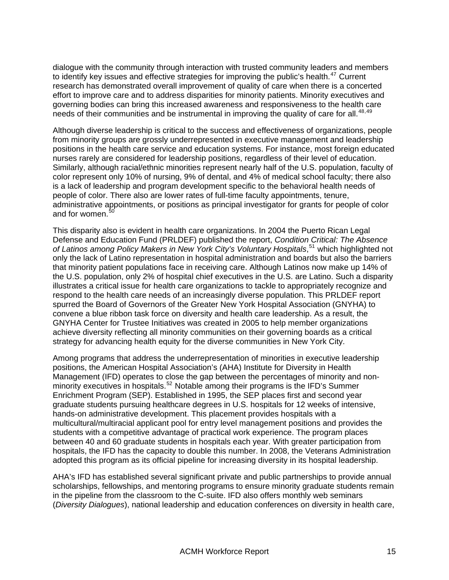dialogue with the community through interaction with trusted community leaders and members to identify key issues and effective strategies for improving the public's health. $47$  Current research has demonstrated overall improvement of quality of care when there is a concerted effort to improve care and to address disparities for minority patients. Minority executives and governing bodies can bring this increased awareness and responsiveness to the health care needs of their communities and be instrumental in improving the quality of care for all.<sup>[48](#page-25-9),49</sup>

Although diverse leadership is critical to the success and effectiveness of organizations, people from minority groups are grossly underrepresented in executive management and leadership positions in the health care service and education systems. For instance, most foreign educated nurses rarely are considered for leadership positions, regardless of their level of education. Similarly, although racial/ethnic minorities represent nearly half of the U.S. population, faculty of color represent only 10% of nursing, 9% of dental, and 4% of medical school faculty; there also is a lack of leadership and program development specific to the behavioral health needs of people of color. There also are lower rates of full-time faculty appointments, tenure, administrative appointments, or positions as principal investigator for grants for people of color and for women.<sup>[50](#page-25-11)</sup>

This disparity also is evident in health care organizations. In 2004 the Puerto Rican Legal Defense and Education Fund (PRLDEF) published the report, *Condition Critical: The Absence*  of Latinos among Policy Makers in New York City's Voluntary Hospitals,<sup>[51](#page-25-12)</sup> which highlighted not only the lack of Latino representation in hospital administration and boards but also the barriers that minority patient populations face in receiving care. Although Latinos now make up 14% of the U.S. population, only 2% of hospital chief executives in the U.S. are Latino. Such a disparity illustrates a critical issue for health care organizations to tackle to appropriately recognize and respond to the health care needs of an increasingly diverse population. This PRLDEF report spurred the Board of Governors of the Greater New York Hospital Association (GNYHA) to convene a blue ribbon task force on diversity and health care leadership. As a result, the GNYHA Center for Trustee Initiatives was created in 2005 to help member organizations achieve diversity reflecting all minority communities on their governing boards as a critical strategy for advancing health equity for the diverse communities in New York City.

Among programs that address the underrepresentation of minorities in executive leadership positions, the American Hospital Association's (AHA) Institute for Diversity in Health Management (IFD) operates to close the gap between the percentages of minority and non-minority executives in hospitals.<sup>[52](#page-25-13)</sup> Notable among their programs is the IFD's Summer Enrichment Program (SEP). Established in 1995, the SEP places first and second year graduate students pursuing healthcare degrees in U.S. hospitals for 12 weeks of intensive, hands-on administrative development. This placement provides hospitals with a multicultural/multiracial applicant pool for entry level management positions and provides the students with a competitive advantage of practical work experience. The program places between 40 and 60 graduate students in hospitals each year. With greater participation from hospitals, the IFD has the capacity to double this number. In 2008, the Veterans Administration adopted this program as its official pipeline for increasing diversity in its hospital leadership.

AHA's IFD has established several significant private and public partnerships to provide annual scholarships, fellowships, and mentoring programs to ensure minority graduate students remain in the pipeline from the classroom to the C-suite. IFD also offers monthly web seminars (*Diversity Dialogues*), national leadership and education conferences on diversity in health care,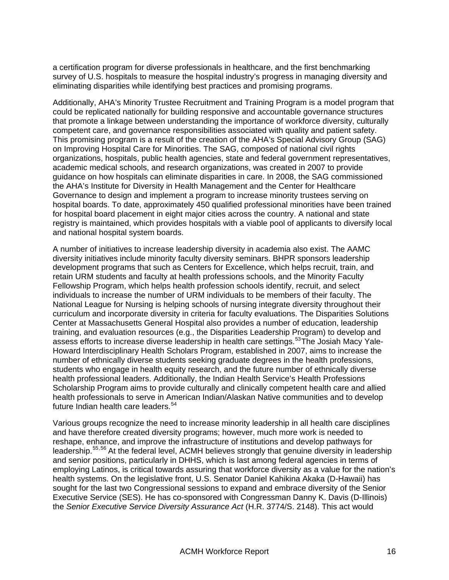a certification program for diverse professionals in healthcare, and the first benchmarking survey of U.S. hospitals to measure the hospital industry's progress in managing diversity and eliminating disparities while identifying best practices and promising programs.

Additionally, AHA's Minority Trustee Recruitment and Training Program is a model program that could be replicated nationally for building responsive and accountable governance structures that promote a linkage between understanding the importance of workforce diversity, culturally competent care, and governance responsibilities associated with quality and patient safety. This promising program is a result of the creation of the AHA's Special Advisory Group (SAG) on Improving Hospital Care for Minorities. The SAG, composed of national civil rights organizations, hospitals, public health agencies, state and federal government representatives, academic medical schools, and research organizations, was created in 2007 to provide guidance on how hospitals can eliminate disparities in care. In 2008, the SAG commissioned the AHA's Institute for Diversity in Health Management and the Center for Healthcare Governance to design and implement a program to increase minority trustees serving on hospital boards. To date, approximately 450 qualified professional minorities have been trained for hospital board placement in eight major cities across the country. A national and state registry is maintained, which provides hospitals with a viable pool of applicants to diversify local and national hospital system boards.

A number of initiatives to increase leadership diversity in academia also exist. The AAMC diversity initiatives include minority faculty diversity seminars. BHPR sponsors leadership development programs that such as Centers for Excellence, which helps recruit, train, and retain URM students and faculty at health professions schools, and the Minority Faculty Fellowship Program, which helps health profession schools identify, recruit, and select individuals to increase the number of URM individuals to be members of their faculty. The National League for Nursing is helping schools of nursing integrate diversity throughout their curriculum and incorporate diversity in criteria for faculty evaluations. The Disparities Solutions Center at Massachusetts General Hospital also provides a number of education, leadership training, and evaluation resources (e.g., the Disparities Leadership Program) to develop and assess efforts to increase diverse leadership in health care settings.<sup>[53](#page-25-14)</sup>The Josiah Macy Yale-Howard Interdisciplinary Health Scholars Program, established in 2007, aims to increase the number of ethnically diverse students seeking graduate degrees in the health professions, students who engage in health equity research, and the future number of ethnically diverse health professional leaders. Additionally, the Indian Health Service's Health Professions Scholarship Program aims to provide culturally and clinically competent health care and allied health professionals to serve in American Indian/Alaskan Native communities and to develop future Indian health care leaders.<sup>[54](#page-25-15)</sup>

Various groups recognize the need to increase minority leadership in all health care disciplines and have therefore created diversity programs; however, much more work is needed to reshape, enhance, and improve the infrastructure of institutions and develop pathways for leadership.[55](#page-25-16),[56](#page-25-17) At the federal level, ACMH believes strongly that genuine diversity in leadership and senior positions, particularly in DHHS, which is last among federal agencies in terms of employing Latinos, is critical towards assuring that workforce diversity as a value for the nation's health systems. On the legislative front, U.S. Senator Daniel Kahikina Akaka (D-Hawaii) has sought for the last two Congressional sessions to expand and embrace diversity of the Senior Executive Service (SES). He has co-sponsored with Congressman Danny K. Davis (D-Illinois) the *Senior Executive Service Diversity Assurance Act* (H.R. 3774/S. 2148). This act would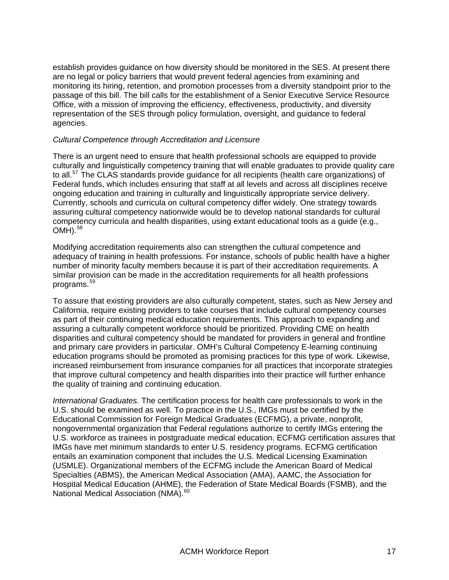establish provides guidance on how diversity should be monitored in the SES. At present there are no legal or policy barriers that would prevent federal agencies from examining and monitoring its hiring, retention, and promotion processes from a diversity standpoint prior to the passage of this bill. The bill calls for the establishment of a Senior Executive Service Resource Office, with a mission of improving the efficiency, effectiveness, productivity, and diversity representation of the SES through policy formulation, oversight, and guidance to federal agencies.

#### *Cultural Competence through Accreditation and Licensure*

There is an urgent need to ensure that health professional schools are equipped to provide culturally and linguistically competency training that will enable graduates to provide quality care to all.<sup>[57](#page-25-18)</sup> The CLAS standards provide guidance for all recipients (health care organizations) of Federal funds, which includes ensuring that staff at all levels and across all disciplines receive ongoing education and training in culturally and linguistically appropriate service delivery. Currently, schools and curricula on cultural competency differ widely. One strategy towards assuring cultural competency nationwide would be to develop national standards for cultural competency curricula and health disparities, using extant educational tools as a guide (e.g.,  $OMH$ ).  $58$ 

Modifying accreditation requirements also can strengthen the cultural competence and adequacy of training in health professions. For instance, schools of public health have a higher number of minority faculty members because it is part of their accreditation requirements. A similar provision can be made in the accreditation requirements for all health professions programs.[59](#page-26-1)

To assure that existing providers are also culturally competent, states, such as New Jersey and California, require existing providers to take courses that include cultural competency courses as part of their continuing medical education requirements. This approach to expanding and assuring a culturally competent workforce should be prioritized. Providing CME on health disparities and cultural competency should be mandated for providers in general and frontline and primary care providers in particular. OMH's Cultural Competency E-learning continuing education programs should be promoted as promising practices for this type of work. Likewise, increased reimbursement from insurance companies for all practices that incorporate strategies that improve cultural competency and health disparities into their practice will further enhance the quality of training and continuing education.

*International Graduates.* The certification process for health care professionals to work in the U.S. should be examined as well. To practice in the U.S., IMGs must be certified by the Educational Commission for Foreign Medical Graduates (ECFMG), a private, nonprofit, nongovernmental organization that Federal regulations authorize to certify IMGs entering the U.S. workforce as trainees in postgraduate medical education. ECFMG certification assures that IMGs have met minimum standards to enter U.S. residency programs. ECFMG certification entails an examination component that includes the U.S. Medical Licensing Examination (USMLE). Organizational members of the ECFMG include the American Board of Medical Specialties (ABMS), the American Medical Association (AMA), AAMC, the Association for Hospital Medical Education (AHME), the Federation of State Medical Boards (FSMB), and the National Medical Association (NMA).<sup>[60](#page-26-2)</sup>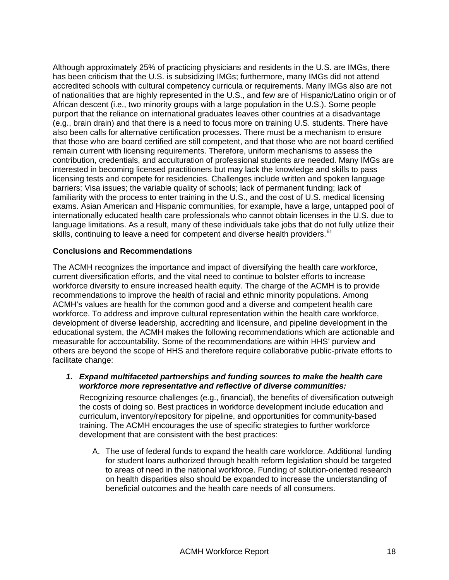Although approximately 25% of practicing physicians and residents in the U.S. are IMGs, there has been criticism that the U.S. is subsidizing IMGs; furthermore, many IMGs did not attend accredited schools with cultural competency curricula or requirements. Many IMGs also are not of nationalities that are highly represented in the U.S., and few are of Hispanic/Latino origin or of African descent (i.e., two minority groups with a large population in the U.S.). Some people purport that the reliance on international graduates leaves other countries at a disadvantage (e.g., brain drain) and that there is a need to focus more on training U.S. students. There have also been calls for alternative certification processes. There must be a mechanism to ensure that those who are board certified are still competent, and that those who are not board certified remain current with licensing requirements. Therefore, uniform mechanisms to assess the contribution, credentials, and acculturation of professional students are needed. Many IMGs are interested in becoming licensed practitioners but may lack the knowledge and skills to pass licensing tests and compete for residencies. Challenges include written and spoken language barriers; Visa issues; the variable quality of schools; lack of permanent funding; lack of familiarity with the process to enter training in the U.S., and the cost of U.S. medical licensing exams. Asian American and Hispanic communities, for example, have a large, untapped pool of internationally educated health care professionals who cannot obtain licenses in the U.S. due to language limitations. As a result, many of these individuals take jobs that do not fully utilize their skills, continuing to leave a need for competent and diverse health providers.<sup>[61](#page-26-3)</sup>

#### <span id="page-19-0"></span>**Conclusions and Recommendations**

The ACMH recognizes the importance and impact of diversifying the health care workforce, current diversification efforts, and the vital need to continue to bolster efforts to increase workforce diversity to ensure increased health equity. The charge of the ACMH is to provide recommendations to improve the health of racial and ethnic minority populations. Among ACMH's values are health for the common good and a diverse and competent health care workforce. To address and improve cultural representation within the health care workforce, development of diverse leadership, accrediting and licensure, and pipeline development in the educational system, the ACMH makes the following recommendations which are actionable and measurable for accountability. Some of the recommendations are within HHS' purview and others are beyond the scope of HHS and therefore require collaborative public-private efforts to facilitate change:

<span id="page-19-1"></span>*1. Expand multifaceted partnerships and funding sources to make the health care workforce more representative and reflective of diverse communities:* 

Recognizing resource challenges (e.g., financial), the benefits of diversification outweigh the costs of doing so. Best practices in workforce development include education and curriculum, inventory/repository for pipeline, and opportunities for community-based training. The ACMH encourages the use of specific strategies to further workforce development that are consistent with the best practices:

A. The use of federal funds to expand the health care workforce. Additional funding for student loans authorized through health reform legislation should be targeted to areas of need in the national workforce. Funding of solution-oriented research on health disparities also should be expanded to increase the understanding of beneficial outcomes and the health care needs of all consumers.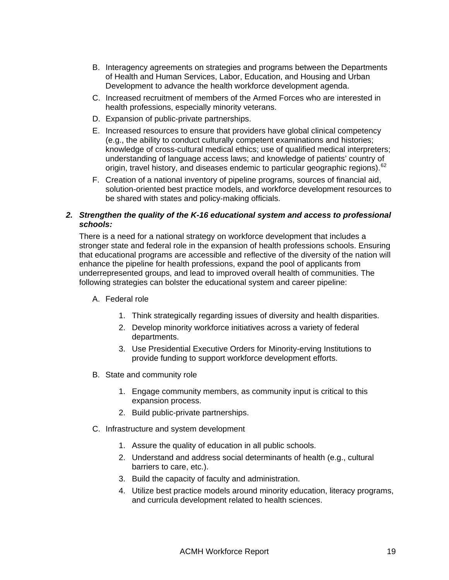- B. Interagency agreements on strategies and programs between the Departments of Health and Human Services, Labor, Education, and Housing and Urban Development to advance the health workforce development agenda.
- C. Increased recruitment of members of the Armed Forces who are interested in health professions, especially minority veterans.
- D. Expansion of public-private partnerships.
- E. Increased resources to ensure that providers have global clinical competency (e.g., the ability to conduct culturally competent examinations and histories; knowledge of cross-cultural medical ethics; use of qualified medical interpreters; understanding of language access laws; and knowledge of patients' country of origin, travel history, and diseases endemic to particular geographic regions).<sup>[62](#page-26-4)</sup>
- F. Creation of a national inventory of pipeline programs, sources of financial aid, solution-oriented best practice models, and workforce development resources to be shared with states and policy-making officials.

#### <span id="page-20-0"></span>*2. Strengthen the quality of the K-16 educational system and access to professional schools:*

There is a need for a national strategy on workforce development that includes a stronger state and federal role in the expansion of health professions schools. Ensuring that educational programs are accessible and reflective of the diversity of the nation will enhance the pipeline for health professions, expand the pool of applicants from underrepresented groups, and lead to improved overall health of communities. The following strategies can bolster the educational system and career pipeline:

- A. Federal role
	- 1. Think strategically regarding issues of diversity and health disparities.
	- 2. Develop minority workforce initiatives across a variety of federal departments.
	- 3. Use Presidential Executive Orders for Minority-erving Institutions to provide funding to support workforce development efforts.
- B. State and community role
	- 1. Engage community members, as community input is critical to this expansion process.
	- 2. Build public-private partnerships.
- C. Infrastructure and system development
	- 1. Assure the quality of education in all public schools.
	- 2. Understand and address social determinants of health (e.g., cultural barriers to care, etc.).
	- 3. Build the capacity of faculty and administration.
	- 4. Utilize best practice models around minority education, literacy programs, and curricula development related to health sciences.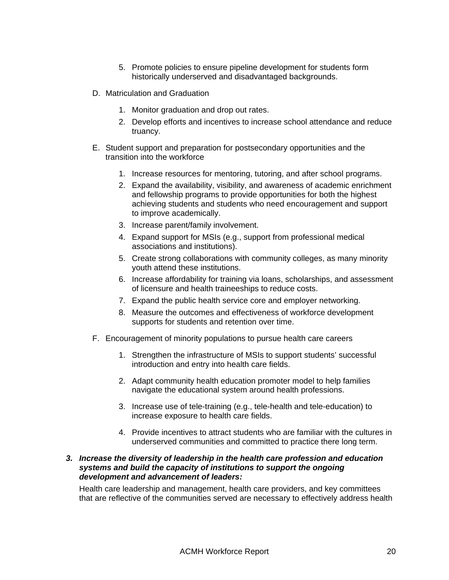- 5. Promote policies to ensure pipeline development for students form historically underserved and disadvantaged backgrounds.
- D. Matriculation and Graduation
	- 1. Monitor graduation and drop out rates.
	- 2. Develop efforts and incentives to increase school attendance and reduce truancy.
- E. Student support and preparation for postsecondary opportunities and the transition into the workforce
	- 1. Increase resources for mentoring, tutoring, and after school programs.
	- 2. Expand the availability, visibility, and awareness of academic enrichment and fellowship programs to provide opportunities for both the highest achieving students and students who need encouragement and support to improve academically.
	- 3. Increase parent/family involvement.
	- 4. Expand support for MSIs (e.g., support from professional medical associations and institutions).
	- 5. Create strong collaborations with community colleges, as many minority youth attend these institutions.
	- 6. Increase affordability for training via loans, scholarships, and assessment of licensure and health traineeships to reduce costs.
	- 7. Expand the public health service core and employer networking.
	- 8. Measure the outcomes and effectiveness of workforce development supports for students and retention over time.
- F. Encouragement of minority populations to pursue health care careers
	- 1. Strengthen the infrastructure of MSIs to support students' successful introduction and entry into health care fields.
	- 2. Adapt community health education promoter model to help families navigate the educational system around health professions.
	- 3. Increase use of tele-training (e.g., tele-health and tele-education) to increase exposure to health care fields.
	- 4. Provide incentives to attract students who are familiar with the cultures in underserved communities and committed to practice there long term.

#### <span id="page-21-0"></span>*3. Increase the diversity of leadership in the health care profession and education systems and build the capacity of institutions to support the ongoing development and advancement of leaders:*

Health care leadership and management, health care providers, and key committees that are reflective of the communities served are necessary to effectively address health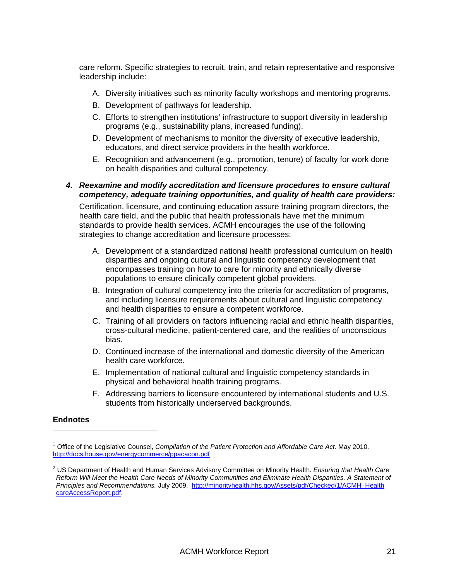care reform. Specific strategies to recruit, train, and retain representative and responsive leadership include:

- A. Diversity initiatives such as minority faculty workshops and mentoring programs.
- B. Development of pathways for leadership.
- C. Efforts to strengthen institutions' infrastructure to support diversity in leadership programs (e.g., sustainability plans, increased funding).
- D. Development of mechanisms to monitor the diversity of executive leadership, educators, and direct service providers in the health workforce.
- E. Recognition and advancement (e.g., promotion, tenure) of faculty for work done on health disparities and cultural competency.

#### <span id="page-22-0"></span>*4. Reexamine and modify accreditation and licensure procedures to ensure cultural competency, adequate training opportunities, and quality of health care providers:*

Certification, licensure, and continuing education assure training program directors, the health care field, and the public that health professionals have met the minimum standards to provide health services. ACMH encourages the use of the following strategies to change accreditation and licensure processes:

- A. Development of a standardized national health professional curriculum on health disparities and ongoing cultural and linguistic competency development that encompasses training on how to care for minority and ethnically diverse populations to ensure clinically competent global providers.
- B. Integration of cultural competency into the criteria for accreditation of programs, and including licensure requirements about cultural and linguistic competency and health disparities to ensure a competent workforce.
- C. Training of all providers on factors influencing racial and ethnic health disparities, cross-cultural medicine, patient-centered care, and the realities of unconscious bias.
- D. Continued increase of the international and domestic diversity of the American health care workforce.
- E. Implementation of national cultural and linguistic competency standards in physical and behavioral health training programs.
- F. Addressing barriers to licensure encountered by international students and U.S. students from historically underserved backgrounds.

#### <span id="page-22-1"></span>**Endnotes**

<span id="page-22-2"></span><sup>&</sup>lt;sup>1</sup> Office of the Legislative Counsel, *Compilation of the Patient Protection and Affordable Care Act. May 2010.* <http://docs.house.gov/energycommerce/ppacacon.pdf>

<span id="page-22-3"></span><sup>2</sup> US Department of Health and Human Services Advisory Committee on Minority Health. *Ensuring that Health Care Reform Will Meet the Health Care Needs of Minority Communities and Eliminate Health Disparities. A Statement of Principles and Recommendations.* July 2009. [http://minorityhealth.hhs.gov/Assets/pdf/Checked/1/ACMH Health](http://minorityhealth.hhs.gov/Assets/pdf/Checked/1/ACMH_HealthCareAccessReport.pdf) [careAccessReport.pdf](http://minorityhealth.hhs.gov/Assets/pdf/Checked/1/ACMH_HealthCareAccessReport.pdf).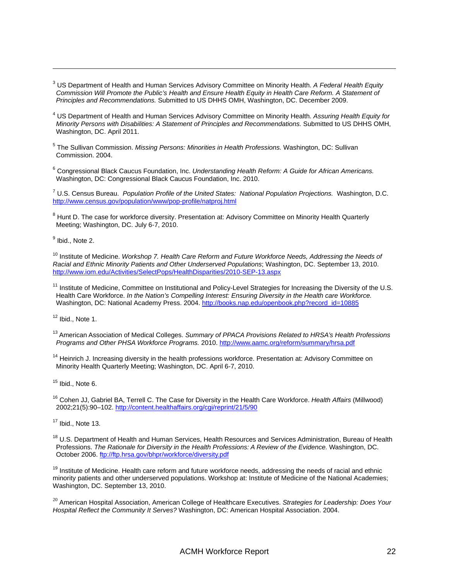<span id="page-23-0"></span>3 US Department of Health and Human Services Advisory Committee on Minority Health. *A Federal Health Equity Commission Will Promote the Public's Health and Ensure Health Equity in Health Care Reform. A Statement of Principles and Recommendations.* Submitted to US DHHS OMH, Washington, DC. December 2009.

<u> 1989 - Johann Stein, marwolaethau a bhann an chomhair an t-an chomhair an chomhair an chomhair an chomhair a</u>

- <span id="page-23-1"></span>4 US Department of Health and Human Services Advisory Committee on Minority Health. *Assuring Health Equity for Minority Persons with Disabilities: A Statement of Principles and Recommendations.* Submitted to US DHHS OMH, Washington, DC. April 2011.
- <span id="page-23-2"></span>5 The Sullivan Commission. *Missing Persons: Minorities in Health Professions.* Washington, DC: Sullivan Commission. 2004.
- <span id="page-23-3"></span>6 Congressional Black Caucus Foundation, Inc. *Understanding Health Reform: A Guide for African Americans.*  Washington, DC: Congressional Black Caucus Foundation, Inc. 2010.

<span id="page-23-4"></span>7 U.S. Census Bureau. *Population Profile of the United States: National Population Projections.* Washington, D.C. <http://www.census.gov/population/www/pop-profile/natproj.html>

<span id="page-23-5"></span><sup>8</sup> Hunt D. The case for workforce diversity. Presentation at: Advisory Committee on Minority Health Quarterly Meeting; Washington, DC. July 6-7, 2010.

<span id="page-23-6"></span><sup>9</sup> Ibid., Note 2.

<span id="page-23-7"></span><sup>10</sup> Institute of Medicine. *Workshop 7. Health Care Reform and Future Workforce Needs, Addressing the Needs of Racial and Ethnic Minority Patients and Other Underserved Populations*; Washington, DC. September 13, 2010. <http://www.iom.edu/Activities/SelectPops/HealthDisparities/2010-SEP-13.aspx>

<span id="page-23-8"></span><sup>11</sup> Institute of Medicine, Committee on Institutional and Policy-Level Strategies for Increasing the Diversity of the U.S. Health Care Workforce. *In the Nation's Compelling Interest: Ensuring Diversity in the Health care Workforce.*  Washington, DC: National Academy Press. 2004. [http://books.nap.edu/openbook.php?record id=10885](http://books.nap.edu/openbook.php?record_id=10885)

 $12$  Ibid., Note 1.

<span id="page-23-9"></span>13 American Association of Medical Colleges. *Summary of PPACA Provisions Related to HRSA's Health Professions Programs and Other PHSA Workforce Programs.* 2010. <http://www.aamc.org/reform/summary/hrsa.pdf>

<span id="page-23-10"></span><sup>14</sup> Heinrich J. Increasing diversity in the health professions workforce. Presentation at: Advisory Committee on Minority Health Quarterly Meeting; Washington, DC. April 6-7, 2010.

<span id="page-23-11"></span> $15$  Ibid., Note 6.

<span id="page-23-12"></span>16 Cohen JJ, Gabriel BA, Terrell C. The Case for Diversity in the Health Care Workforce. *Health Affairs* (Millwood) 2002;21(5):90–102. <http://content.healthaffairs.org/cgi/reprint/21/5/90>

<span id="page-23-13"></span> $17$  Ibid., Note 13.

<span id="page-23-14"></span><sup>18</sup> U.S. Department of Health and Human Services, Health Resources and Services Administration, Bureau of Health Professions. *The Rationale for Diversity in the Health Professions: A Review of the Evidence.* Washington, DC. October 2006.<ftp://ftp.hrsa.gov/bhpr/workforce/diversity.pdf>

<span id="page-23-15"></span><sup>19</sup> Institute of Medicine. Health care reform and future workforce needs, addressing the needs of racial and ethnic minority patients and other underserved populations. Workshop at: Institute of Medicine of the National Academies; Washington, DC. September 13, 2010.

<span id="page-23-16"></span><sup>20</sup> American Hospital Association, American College of Healthcare Executives. *Strategies for Leadership: Does Your Hospital Reflect the Community It Serves?* Washington, DC: American Hospital Association. 2004.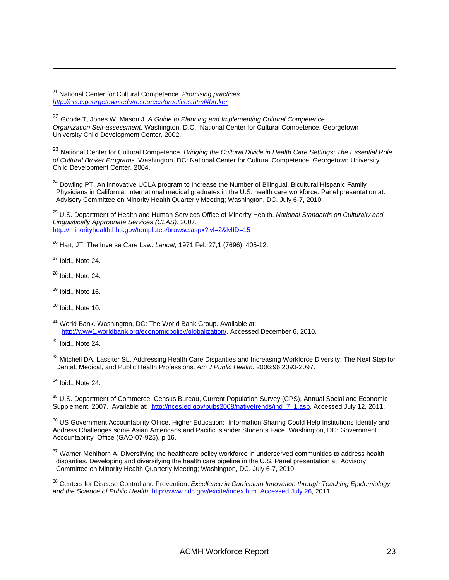<span id="page-24-0"></span><sup>21</sup> National Center for Cultural Competence. *Promising practices. <http://nccc.georgetown.edu/resources/practices.html#broker>*

<span id="page-24-1"></span><sup>22</sup> Goode T, Jones W, Mason J. *A Guide to Planning and Implementing Cultural Competence Organization Self-assessment.* Washington, D.C.: National Center for Cultural Competence, Georgetown University Child Development Center. 2002.

<span id="page-24-2"></span><sup>23</sup> National Center for Cultural Competence. *Bridging the Cultural Divide in Health Care Settings: The Essential Role of Cultural Broker Programs.* Washington, DC: National Center for Cultural Competence, Georgetown University Child Development Center. 2004.

<u> 1989 - Johann Stein, marwolaethau a bhann an chomhair an t-an chomhair an chomhair an chomhair an chomhair a</u>

<span id="page-24-3"></span> $24$  Dowling PT. An innovative UCLA program to Increase the Number of Bilingual, Bicultural Hispanic Family Physicians in California. International medical graduates in the U.S. health care workforce. Panel presentation at: Advisory Committee on Minority Health Quarterly Meeting; Washington, DC. July 6-7, 2010.

<span id="page-24-4"></span>25 U.S. Department of Health and Human Services Office of Minority Health. *National Standards on Culturally and Linguistically Appropriate Services (CLAS).* 2007. <http://minorityhealth.hhs.gov/templates/browse.aspx?lvl=2&lvlID=15>

<span id="page-24-5"></span>26 Hart, JT. The Inverse Care Law. *Lancet,* 1971 Feb 27;1 (7696): 405-12.

<span id="page-24-6"></span> $27$  Ibid., Note 24.

<span id="page-24-7"></span> $28$  Ibid., Note 24.

<span id="page-24-8"></span> $29$  Ibid., Note 16.

<span id="page-24-9"></span> $30$  Ibid., Note 10.

<span id="page-24-10"></span> $31$  World Bank. Washington, DC: The World Bank Group. Available at: <http://www1.worldbank.org/economicpolicy/globalization/>. Accessed December 6, 2010.

<span id="page-24-11"></span> $32$  Ibid., Note 24.

<span id="page-24-12"></span><sup>33</sup> Mitchell DA, Lassiter SL. Addressing Health Care Disparities and Increasing Workforce Diversity: The Next Step for Dental, Medical, and Public Health Professions. *Am J Public Health.* 2006;96:2093-2097.

<span id="page-24-13"></span> $34$  Ibid., Note 24.

<span id="page-24-14"></span><sup>35</sup> U.S. Department of Commerce, Census Bureau, Current Population Survey (CPS), Annual Social and Economic Supplement, 2007. Available at: [http://nces.ed.gov/pubs2008/nativetrends/ind 7 1.asp.](http://nces.ed.gov/pubs2008/nativetrends/ind_7_1.asp) Accessed July 12, 2011.

<span id="page-24-15"></span><sup>36</sup> US Government Accountability Office. Higher Education: Information Sharing Could Help Institutions Identify and Address Challenges some Asian Americans and Pacific Islander Students Face. Washington, DC: Government Accountability Office (GAO-07-925), p 16.

<span id="page-24-16"></span><sup>37</sup> Warner-Mehlhorn A. Diversifying the healthcare policy workforce in underserved communities to address health disparities. Developing and diversifying the health care pipeline in the U.S. Panel presentation at: Advisory Committee on Minority Health Quarterly Meeting; Washington, DC. July 6-7, 2010.

<span id="page-24-17"></span>38 Centers for Disease Control and Prevention. *Excellence in Curriculum Innovation through Teaching Epidemiology and the Science of Public Health.* [http://www.cdc.gov/excite/index.htm. Accessed July 26](http://www.cdc.gov/excite/index.htm.%20Accessed%20July%2026), 2011.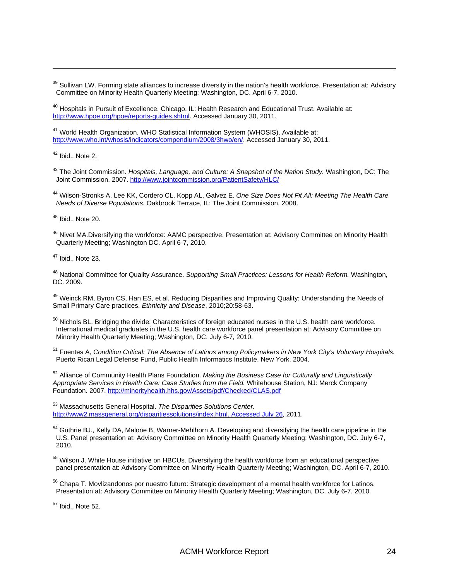<span id="page-25-0"></span><sup>39</sup> Sullivan LW. Forming state alliances to increase diversity in the nation's health workforce. Presentation at: Advisory Committee on Minority Health Quarterly Meeting; Washington, DC. April 6-7, 2010.

<u> 1989 - Johann Stein, marwolaethau a bhann an chomhair an t-an chomhair an chomhair an chomhair an chomhair a</u>

<span id="page-25-1"></span><sup>40</sup> Hospitals in Pursuit of Excellence. Chicago, IL: Health Research and Educational Trust. Available at: [http://www.hpoe.org/hpoe/reports-guides.shtml.](http://www.hpoe.org/hpoe/reports-guides.shtml) Accessed January 30, 2011.

<span id="page-25-2"></span><sup>41</sup> World Health Organization. WHO Statistical Information System (WHOSIS). Available at: [http://www.who.int/whosis/indicators/compendium/2008/3hwo/en/.](http://www.who.int/whosis/indicators/compendium/2008/3hwo/en/) Accessed January 30, 2011.

<span id="page-25-3"></span> $42$  Ibid., Note 2.

<span id="page-25-4"></span>43 The Joint Commission. *Hospitals, Language, and Culture: A Snapshot of the Nation Study.* Washington, DC: The Joint Commission. 2007. <http://www.jointcommission.org/PatientSafety/HLC/>

<span id="page-25-5"></span>44 Wilson-Stronks A, Lee KK, Cordero CL, Kopp AL, Galvez E. *One Size Does Not Fit All: Meeting The Health Care Needs of Diverse Populations.* Oakbrook Terrace, IL: The Joint Commission. 2008.

<span id="page-25-6"></span> $45$  Ibid., Note 20.

<span id="page-25-7"></span><sup>46</sup> Nivet MA.Diversifying the workforce: AAMC perspective. Presentation at: Advisory Committee on Minority Health Quarterly Meeting; Washington DC. April 6-7, 2010.

<span id="page-25-8"></span> $47$  Ibid., Note 23.

<span id="page-25-9"></span>48 National Committee for Quality Assurance. *Supporting Small Practices: Lessons for Health Reform.* Washington, DC. 2009.

<span id="page-25-10"></span><sup>49</sup> Weinck RM, Byron CS, Han ES, et al. Reducing Disparities and Improving Quality: Understanding the Needs of Small Primary Care practices. *Ethnicity and Disease*, 2010;20:58-63.

<span id="page-25-11"></span><sup>50</sup> Nichols BL. Bridging the divide: Characteristics of foreign educated nurses in the U.S. health care workforce. International medical graduates in the U.S. health care workforce panel presentation at: Advisory Committee on Minority Health Quarterly Meeting; Washington, DC. July 6-7, 2010.

<span id="page-25-12"></span>51 Fuentes A, *Condition Critical: The Absence of Latinos among Policymakers in New York City's Voluntary Hospitals.*  Puerto Rican Legal Defense Fund, Public Health Informatics Institute. New York. 2004.

<span id="page-25-13"></span>52 Alliance of Community Health Plans Foundation. *Making the Business Case for Culturally and Linguistically Appropriate Services in Health Care: Case Studies from the Field.* Whitehouse Station, NJ: Merck Company Foundation. 2007.<http://minorityhealth.hhs.gov/Assets/pdf/Checked/CLAS.pdf>

<span id="page-25-14"></span>53 Massachusetts General Hospital. *The Disparities Solutions Center.*  [http://www2.massgeneral.org/disparitiessolutions/index.html. Accessed July 26,](http://www2.massgeneral.org/disparitiessolutions/index.html.%20Accessed%20July%2026) 2011.

<span id="page-25-15"></span><sup>54</sup> Guthrie BJ., Kelly DA, Malone B, Warner-Mehlhorn A. Developing and diversifying the health care pipeline in the U.S. Panel presentation at: Advisory Committee on Minority Health Quarterly Meeting; Washington, DC. July 6-7, 2010.

<span id="page-25-16"></span><sup>55</sup> Wilson J. White House initiative on HBCUs. Diversifying the health workforce from an educational perspective panel presentation at: Advisory Committee on Minority Health Quarterly Meeting; Washington, DC. April 6-7, 2010.

<span id="page-25-17"></span><sup>56</sup> Chapa T. Movlizandonos por nuestro futuro: Strategic development of a mental health workforce for Latinos. Presentation at: Advisory Committee on Minority Health Quarterly Meeting; Washington, DC. July 6-7, 2010.

<span id="page-25-18"></span> $57$  Ibid., Note 52.